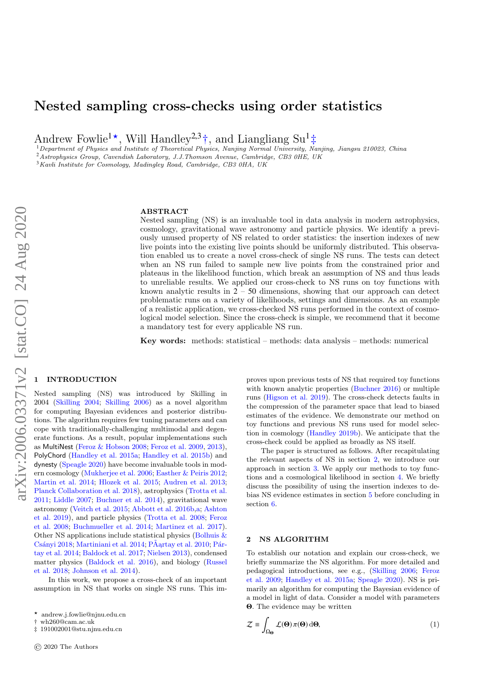# Nested sampling cross-checks using order statistics

Andrew Fowlie<sup>1\*</sup>, Will Handley<sup>2,3</sup><sup>+</sup>, and Liangliang Su<sup>1</sup><sup>+</sup>

 $1$ Department of Physics and Institute of Theoretical Physics, Nanjing Normal University, Nanjing, Jiangsu 210023, China

<sup>2</sup>Astrophysics Group, Cavendish Laboratory, J.J.Thomson Avenue, Cambridge, CB3 0HE, UK

<sup>3</sup>Kavli Institute for Cosmology, Madingley Road, Cambridge, CB3 0HA, UK

## ABSTRACT

Nested sampling (NS) is an invaluable tool in data analysis in modern astrophysics, cosmology, gravitational wave astronomy and particle physics. We identify a previously unused property of NS related to order statistics: the insertion indexes of new live points into the existing live points should be uniformly distributed. This observation enabled us to create a novel cross-check of single NS runs. The tests can detect when an NS run failed to sample new live points from the constrained prior and plateaus in the likelihood function, which break an assumption of NS and thus leads to unreliable results. We applied our cross-check to NS runs on toy functions with known analytic results in  $2 - 50$  dimensions, showing that our approach can detect problematic runs on a variety of likelihoods, settings and dimensions. As an example of a realistic application, we cross-checked NS runs performed in the context of cosmological model selection. Since the cross-check is simple, we recommend that it become a mandatory test for every applicable NS run.

Key words: methods: statistical – methods: data analysis – methods: numerical

# **INTRODUCTION**

Nested sampling (NS) was introduced by Skilling in 2004 [\(Skilling](#page-6-0) [2004;](#page-6-0) [Skilling](#page-6-1) [2006\)](#page-6-1) as a novel algorithm for computing Bayesian evidences and posterior distributions. The algorithm requires few tuning parameters and can cope with traditionally-challenging multimodal and degenerate functions. As a result, popular implementations such as MultiNest [\(Feroz & Hobson](#page-6-2) [2008;](#page-6-2) [Feroz et al.](#page-6-3) [2009,](#page-6-3) [2013\)](#page-6-4), PolyChord [\(Handley et al.](#page-6-5) [2015a;](#page-6-5) [Handley et al.](#page-6-6) [2015b\)](#page-6-6) and dynesty [\(Speagle](#page-6-7) [2020\)](#page-6-7) have become invaluable tools in modern cosmology [\(Mukherjee et al.](#page-6-8) [2006;](#page-6-8) [Easther & Peiris](#page-6-9) [2012;](#page-6-9) [Martin et al.](#page-6-10) [2014;](#page-6-10) [Hlozek et al.](#page-6-11) [2015;](#page-6-11) [Audren et al.](#page-6-12) [2013;](#page-6-12) [Planck Collaboration et al.](#page-6-13) [2018\)](#page-6-13), astrophysics [\(Trotta et al.](#page-6-14) [2011;](#page-6-14) [Liddle](#page-6-15) [2007;](#page-6-15) [Buchner et al.](#page-6-16) [2014\)](#page-6-16), gravitational wave astronomy [\(Veitch et al.](#page-6-17) [2015;](#page-6-17) [Abbott et al.](#page-6-18) [2016b,](#page-6-18)[a;](#page-6-19) [Ashton](#page-6-20) [et al.](#page-6-20) [2019\)](#page-6-20), and particle physics [\(Trotta et al.](#page-6-21) [2008;](#page-6-21) [Feroz](#page-6-22) [et al.](#page-6-22) [2008;](#page-6-22) [Buchmueller et al.](#page-6-23) [2014;](#page-6-23) [Martinez et al.](#page-6-24) [2017\)](#page-6-24). Other NS applications include statistical physics [\(Bolhuis &](#page-6-25) Csányi [2018;](#page-6-25) [Martiniani et al.](#page-6-26) [2014;](#page-6-26) P $\tilde{\text{A}}$ [artay et al.](#page-6-27) [2010;](#page-6-27) Pár[tay et al.](#page-6-28) [2014;](#page-6-28) [Baldock et al.](#page-6-29) [2017;](#page-6-29) [Nielsen](#page-6-30) [2013\)](#page-6-30), condensed matter physics [\(Baldock et al.](#page-6-31) [2016\)](#page-6-31), and biology [\(Russel](#page-6-32) [et al.](#page-6-32) [2018;](#page-6-32) [Johnson et al.](#page-6-33) [2014\)](#page-6-33).

In this work, we propose a cross-check of an important assumption in NS that works on single NS runs. This im-

proves upon previous tests of NS that required toy functions with known analytic properties [\(Buchner](#page-6-34) [2016\)](#page-6-34) or multiple runs [\(Higson et al.](#page-6-35) [2019\)](#page-6-35). The cross-check detects faults in the compression of the parameter space that lead to biased estimates of the evidence. We demonstrate our method on toy functions and previous NS runs used for model selection in cosmology [\(Handley](#page-6-36) [2019b\)](#page-6-36). We anticipate that the cross-check could be applied as broadly as NS itself.

The paper is structured as follows. After recapitulating the relevant aspects of NS in section [2,](#page-0-0) we introduce our approach in section [3.](#page-1-0) We apply our methods to toy functions and a cosmological likelihood in section [4.](#page-3-0) We briefly discuss the possibility of using the insertion indexes to debias NS evidence estimates in section [5](#page-5-0) before concluding in section [6.](#page-5-1)

#### <span id="page-0-0"></span>2 NS ALGORITHM

To establish our notation and explain our cross-check, we briefly summarize the NS algorithm. For more detailed and pedagogical introductions, see e.g., [\(Skilling](#page-6-1) [2006;](#page-6-1) [Feroz](#page-6-3) [et al.](#page-6-3) [2009;](#page-6-3) [Handley et al.](#page-6-5) [2015a;](#page-6-5) [Speagle](#page-6-7) [2020\)](#page-6-7). NS is primarily an algorithm for computing the Bayesian evidence of a model in light of data. Consider a model with parameters **Θ**. The evidence may be written

<span id="page-0-1"></span>
$$
Z \equiv \int_{\Omega_{\Theta}} \mathcal{L}(\Theta) \pi(\Theta) \, d\Theta,\tag{1}
$$

<sup>?</sup> andrew.j.fowlie@njnu.edu.cn

<sup>†</sup> wh260@cam.ac.uk

<sup>‡</sup> 191002001@stu.njnu.edu.cn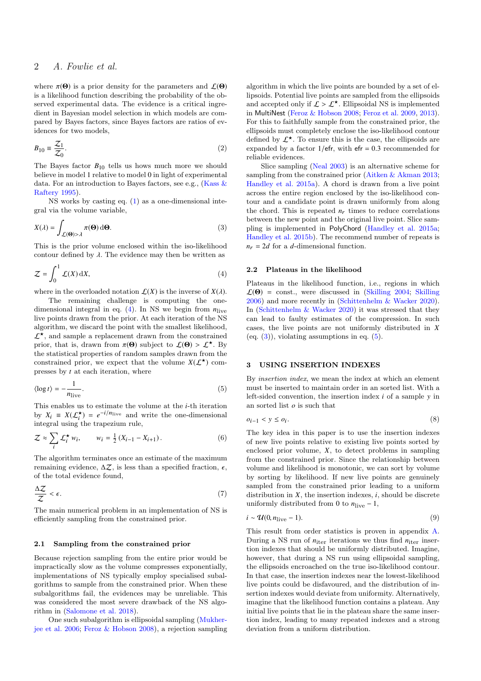where  $\pi(\Theta)$  is a prior density for the parameters and  $\mathcal{L}(\Theta)$ is a likelihood function describing the probability of the observed experimental data. The evidence is a critical ingredient in Bayesian model selection in which models are compared by Bayes factors, since Bayes factors are ratios of evidences for two models,

$$
B_{10} \equiv \frac{\mathcal{Z}_1}{\mathcal{Z}_0}.\tag{2}
$$

The Bayes factor  $B_{10}$  tells us hows much more we should believe in model 1 relative to model 0 in light of experimental data. For an introduction to Bayes factors, see e.g., [\(Kass &](#page-6-37) [Raftery](#page-6-37) [1995\)](#page-6-37).

<span id="page-1-2"></span>NS works by casting eq. [\(1\)](#page-0-1) as a one-dimensional integral via the volume variable,

$$
X(\lambda) = \int_{\mathcal{L}(\Theta) > \lambda} \pi(\Theta) \, \mathrm{d}\Theta. \tag{3}
$$

This is the prior volume enclosed within the iso-likelihood contour defined by  $\lambda$ . The evidence may then be written as

$$
\mathcal{Z} = \int_0^1 \mathcal{L}(X) \, \mathrm{d}X,\tag{4}
$$

where in the overloaded notation  $\mathcal{L}(X)$  is the inverse of  $X(\lambda)$ .

The remaining challenge is computing the onedimensional integral in eq.  $(4)$ . In NS we begin from  $n_{\text{live}}$ live points drawn from the prior. At each iteration of the NS algorithm, we discard the point with the smallest likelihood,  $\mathcal{L}^{\star}$ , and sample a replacement drawn from the constrained prior, that is, drawn from  $\pi(\Theta)$  subject to  $\mathcal{L}(\Theta) > \mathcal{L}^*$ . By the statistical properties of random samples drawn from the constrained prior, we expect that the volume  $X(\mathcal{L}^{\star})$  compresses by *t* at each iteration, where

$$
\langle \log t \rangle = -\frac{1}{n_{\text{live}}}.\tag{5}
$$

This enables us to estimate the volume at the *i*-th iteration by  $X_i \equiv X(\mathcal{L}_i^{\star}) = e^{-i/n_{\text{live}}}$  and write the one-dimensional integral using the trapezium rule,

$$
\mathcal{Z} \approx \sum_{i} \mathcal{L}_{i}^{\star} w_{i}, \qquad w_{i} = \frac{1}{2} \left( X_{i-1} - X_{i+1} \right). \tag{6}
$$

The algorithm terminates once an estimate of the maximum remaining evidence,  $\Delta Z$ , is less than a specified fraction,  $\epsilon$ , of the total evidence found,

<span id="page-1-5"></span>
$$
\frac{\Delta Z}{Z} < \epsilon. \tag{7}
$$

The main numerical problem in an implementation of NS is efficiently sampling from the constrained prior.

#### 2.1 Sampling from the constrained prior

Because rejection sampling from the entire prior would be impractically slow as the volume compresses exponentially, implementations of NS typically employ specialised subalgorithms to sample from the constrained prior. When these subalgorithms fail, the evidences may be unreliable. This was considered the most severe drawback of the NS algorithm in [\(Salomone et al.](#page-6-38) [2018\)](#page-6-38).

One such subalgorithm is ellipsoidal sampling [\(Mukher](#page-6-8)[jee et al.](#page-6-8) [2006;](#page-6-8) [Feroz & Hobson](#page-6-2) [2008\)](#page-6-2), a rejection sampling

algorithm in which the live points are bounded by a set of ellipsoids. Potential live points are sampled from the ellipsoids and accepted only if  $\mathcal{L} > \mathcal{L}^{\star}$ . Ellipsoidal NS is implemented in MultiNest [\(Feroz & Hobson](#page-6-2) [2008;](#page-6-2) [Feroz et al.](#page-6-3) [2009,](#page-6-3) [2013\)](#page-6-4). For this to faithfully sample from the constrained prior, the ellipsoids must completely enclose the iso-likelihood contour defined by  $\mathcal{L}^{\star}.$  To ensure this is the case, the ellipsoids are expanded by a factor  $1$ /efr, with efr = 0.3 recommended for reliable evidences.

Slice sampling [\(Neal](#page-6-39) [2003\)](#page-6-39) is an alternative scheme for sampling from the constrained prior [\(Aitken & Akman](#page-6-40) [2013;](#page-6-40) [Handley et al.](#page-6-5) [2015a\)](#page-6-5). A chord is drawn from a live point across the entire region enclosed by the iso-likelihood contour and a candidate point is drawn uniformly from along the chord. This is repeated  $n_r$  times to reduce correlations between the new point and the original live point. Slice sampling is implemented in PolyChord [\(Handley et al.](#page-6-5) [2015a;](#page-6-5) [Handley et al.](#page-6-6) [2015b\)](#page-6-6). The recommend number of repeats is  $n_r = 2d$  for a *d*-dimensional function.

### <span id="page-1-1"></span>2.2 Plateaus in the likelihood

Plateaus in the likelihood function, i.e., regions in which  $\mathcal{L}(\mathbf{\Theta})$  = const., were discussed in [\(Skilling](#page-6-0) [2004;](#page-6-0) [Skilling](#page-6-1) [2006\)](#page-6-1) and more recently in [\(Schittenhelm & Wacker](#page-6-41) [2020\)](#page-6-41). In [\(Schittenhelm & Wacker](#page-6-41) [2020\)](#page-6-41) it was stressed that they can lead to faulty estimates of the compression. In such cases, the live points are not uniformly distributed in *X* (eq.  $(3)$ ), violating assumptions in eq.  $(5)$ .

#### <span id="page-1-3"></span><span id="page-1-0"></span>3 USING INSERTION INDEXES

By insertion index, we mean the index at which an element must be inserted to maintain order in an sorted list. With a left-sided convention, the insertion index *i* of a sample y in an sorted list *o* is such that

<span id="page-1-4"></span>
$$
o_{i-1} < y \le o_i. \tag{8}
$$

<span id="page-1-6"></span>The key idea in this paper is to use the insertion indexes of new live points relative to existing live points sorted by enclosed prior volume, *X*, to detect problems in sampling from the constrained prior. Since the relationship between volume and likelihood is monotonic, we can sort by volume by sorting by likelihood. If new live points are genuinely sampled from the constrained prior leading to a uniform distribution in *X*, the insertion indexes, *i*, should be discrete uniformly distributed from 0 to  $n_{\text{live}} - 1$ ,

<span id="page-1-7"></span>
$$
i \sim \mathcal{U}(0, n_{\text{live}} - 1). \tag{9}
$$

This result from order statistics is proven in appendix [A.](#page-6-42) During a NS run of  $n_{\text{iter}}$  iterations we thus find  $n_{\text{iter}}$  insertion indexes that should be uniformly distributed. Imagine, however, that during a NS run using ellipsoidal sampling, the ellipsoids encroached on the true iso-likelihood contour. In that case, the insertion indexes near the lowest-likelihood live points could be disfavoured, and the distribution of insertion indexes would deviate from uniformity. Alternatively, imagine that the likelihood function contains a plateau. Any initial live points that lie in the plateau share the same insertion index, leading to many repeated indexes and a strong deviation from a uniform distribution.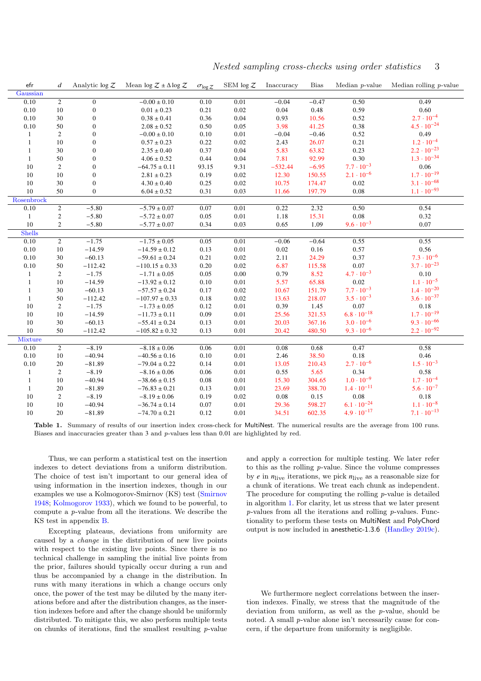| $_{\rm efr}$  | $\boldsymbol{d}$ | Analytic $\log Z$ | Mean $\log Z \pm \Delta \log Z$ | $\sigma_{\log Z}$ | SEM $\log Z$ | Inaccuracy | <b>Bias</b> | Median $p$ -value    | Median rolling $p$ -value |
|---------------|------------------|-------------------|---------------------------------|-------------------|--------------|------------|-------------|----------------------|---------------------------|
| Gaussian      |                  |                   |                                 |                   |              |            |             |                      |                           |
| 0.10          | $\overline{2}$   | $\mathbf{0}$      | $-0.00 \pm 0.10$                | 0.10              | 0.01         | $-0.04$    | $-0.47$     | 0.50                 | 0.49                      |
| 0.10          | $10\,$           | $\boldsymbol{0}$  | $0.01\pm0.23$                   | 0.21              | 0.02         | 0.04       | 0.48        | 0.59                 | $0.60\,$                  |
| 0.10          | 30               | $\boldsymbol{0}$  | $0.38 \pm 0.41$                 | 0.36              | 0.04         | 0.93       | 10.56       | 0.52                 | $2.7 \cdot 10^{-4}$       |
| 0.10          | $50\,$           | $\boldsymbol{0}$  | $2.08 \pm 0.52$                 | 0.50              | 0.05         | 3.98       | 41.25       | 0.38                 | $4.5 \cdot 10^{-24}$      |
| -1            | 2                | $\boldsymbol{0}$  | $-0.00 \pm 0.10$                | 0.10              | $0.01\,$     | $-0.04$    | $-0.46$     | 0.52                 | 0.49                      |
| $\mathbf{1}$  | $10\,$           | $\boldsymbol{0}$  | $0.57 \pm 0.23$                 | 0.22              | 0.02         | 2.43       | 26.07       | 0.21                 | $1.2 \cdot 10^{-4}$       |
| $\mathbf{1}$  | $30\,$           | $\boldsymbol{0}$  | $2.35 \pm 0.40$                 | 0.37              | 0.04         | 5.83       | 63.82       | 0.23                 | $2.2 \cdot 10^{-23}$      |
| $\mathbf{1}$  | $50\,$           | $\boldsymbol{0}$  | $4.06 \pm 0.52$                 | 0.44              | 0.04         | 7.81       | 92.99       | 0.30                 | $1.3 \cdot 10^{-34}$      |
| 10            | $\overline{c}$   | $\boldsymbol{0}$  | $-64.75 \pm 0.11$               | 93.15             | 9.31         | $-532.44$  | $-6.95$     | $7.7 \cdot 10^{-3}$  | $0.06\,$                  |
| 10            | 10               | $\mathbf{0}$      | $2.81 \pm 0.23$                 | 0.19              | 0.02         | 12.30      | 150.55      | $2.1 \cdot 10^{-6}$  | $1.7 \cdot 10^{-19}$      |
| 10            | $30\,$           | $\boldsymbol{0}$  | $4.30 \pm 0.40$                 | 0.25              | 0.02         | 10.75      | 174.47      | 0.02                 | $3.1 \cdot 10^{-68}$      |
| 10            | 50               | $\boldsymbol{0}$  | $6.04 \pm 0.52$                 | 0.31              | 0.03         | 11.66      | 197.79      | 0.08                 | $1.1 \cdot 10^{-93}$      |
| Rosenbrock    |                  |                   |                                 |                   |              |            |             |                      |                           |
| 0.10          | $\overline{2}$   | $-5.80$           | $-5.79 \pm 0.07$                | 0.07              | 0.01         | 0.22       | 2.32        | 0.50                 | 0.54                      |
| $\mathbf{1}$  | $\mathbf{2}$     | $-5.80$           | $-5.72 \pm 0.07$                | 0.05              | 0.01         | 1.18       | 15.31       | 0.08                 | 0.32                      |
| 10            | $\overline{c}$   | $-5.80$           | $-5.77 \pm 0.07$                | 0.34              | 0.03         | 0.65       | 1.09        | $9.6 \cdot 10^{-3}$  | 0.07                      |
| <b>Shells</b> |                  |                   |                                 |                   |              |            |             |                      |                           |
| 0.10          | $\overline{2}$   | $-1.75$           | $-1.75 \pm 0.05$                | 0.05              | 0.01         | $-0.06$    | $-0.64$     | 0.55                 | 0.55                      |
| 0.10          | $10\,$           | $-14.59$          | $-14.59 \pm 0.12$               | 0.13              | 0.01         | $0.02\,$   | 0.16        | 0.57                 | 0.56                      |
| 0.10          | 30               | $-60.13$          | $-59.61 \pm 0.24$               | 0.21              | 0.02         | 2.11       | 24.29       | 0.37                 | $7.3 \cdot 10^{-6}$       |
| 0.10          | $50\,$           | $-112.42$         | $-110.15 \pm 0.33$              | 0.20              | 0.02         | 6.87       | 115.58      | 0.07                 | $3.7 \cdot 10^{-23}$      |
| 1             | $\overline{2}$   | $-1.75$           | $-1.71 \pm 0.05$                | 0.05              | $0.00\,$     | 0.79       | 8.52        | $4.7 \cdot 10^{-3}$  | $0.10\,$                  |
| 1             | $10\,$           | $-14.59$          | $-13.92 \pm 0.12$               | 0.10              | 0.01         | 5.57       | 65.88       | 0.02                 | $1.1 \cdot 10^{-5}$       |
| $\mathbf{1}$  | $30\,$           | $-60.13$          | $-57.57 \pm 0.24$               | 0.17              | $0.02\,$     | 10.67      | 151.79      | $7.7 \cdot 10^{-3}$  | $1.4 \cdot 10^{-20}$      |
| 1             | $50\,$           | $-112.42$         | $-107.97 \pm 0.33$              | 0.18              | $0.02\,$     | 13.63      | 218.07      | $3.5 \cdot 10^{-3}$  | $3.6 \cdot 10^{-37}$      |
| 10            | $\overline{2}$   | $-1.75$           | $-1.73 \pm 0.05$                | 0.12              | 0.01         | 0.39       | 1.45        | 0.07                 | $0.18\,$                  |
| 10            | 10               | $-14.59$          | $-11.73 \pm 0.11$               | 0.09              | 0.01         | 25.56      | 321.53      | $6.8 \cdot 10^{-18}$ | $1.7 \cdot 10^{-19}$      |
| 10            | $30\,$           | $-60.13$          | $-55.41 \pm 0.24$               | 0.13              | 0.01         | 20.03      | 367.16      | $3.0 \cdot 10^{-6}$  | $9.3 \cdot 10^{-66}$      |
| 10            | 50               | $-112.42$         | $-105.82 \pm 0.32$              | 0.13              | 0.01         | 20.42      | 480.50      | $9.3 \cdot 10^{-6}$  | $2.2 \cdot 10^{-92}$      |
| Mixture       |                  |                   |                                 |                   |              |            |             |                      |                           |
| 0.10          | $\overline{2}$   | $-8.19$           | $-8.18 \pm 0.06$                | 0.06              | 0.01         | 0.08       | 0.68        | 0.47                 | 0.58                      |
| 0.10          | 10               | $-40.94$          | $-40.56 \pm 0.16$               | 0.10              | 0.01         | 2.46       | 38.50       | 0.18                 | 0.46                      |
| 0.10          | $20\,$           | $-81.89$          | $-79.04 \pm 0.22$               | 0.14              | 0.01         | 13.05      | 210.43      | $2.7 \cdot 10^{-6}$  | $1.5 \cdot 10^{-3}$       |
| -1            | $\overline{2}$   | $-8.19$           | $-8.16 \pm 0.06$                | 0.06              | 0.01         | 0.55       | 5.65        | 0.34                 | 0.58                      |
| $\mathbf{1}$  | $10\,$           | $-40.94$          | $-38.66 \pm 0.15$               | 0.08              | 0.01         | 15.30      | 304.65      | $1.0 \cdot 10^{-9}$  | $1.7 \cdot 10^{-4}$       |
| $\mathbf{1}$  | $20\,$           | $-81.89$          | $-76.83 \pm 0.21$               | 0.13              | 0.01         | 23.69      | 388.70      | $1.4 \cdot 10^{-11}$ | $5.6 \cdot 10^{-7}$       |
| 10            | $\overline{2}$   | $-8.19$           | $-8.19 \pm 0.06$                | 0.19              | 0.02         | $0.08\,$   | 0.15        | 0.08                 | 0.18                      |
| 10            | $10\,$           | $-40.94$          | $-36.74 \pm 0.14$               | 0.07              | 0.01         | 29.36      | 598.27      | $6.1 \cdot 10^{-24}$ | $1.1 \cdot 10^{-8}$       |
| $10\,$        | $20\,$           | $-81.89$          | $-74.70 \pm 0.21$               | 0.12              | 0.01         | 34.51      | 602.35      | $4.9 \cdot 10^{-17}$ | $7.1 \cdot 10^{-13}$      |
|               |                  |                   |                                 |                   |              |            |             |                      |                           |

Nested sampling cross-checks using order statistics 3

<span id="page-2-0"></span>Table 1. Summary of results of our insertion index cross-check for MultiNest. The numerical results are the average from 100 runs. Biases and inaccuracies greater than <sup>3</sup> and <sup>p</sup>-values less than <sup>0</sup>.<sup>01</sup> are highlighted by red.

Thus, we can perform a statistical test on the insertion indexes to detect deviations from a uniform distribution. The choice of test isn't important to our general idea of using information in the insertion indexes, though in our examples we use a Kolmogorov-Smirnov (KS) test [\(Smirnov](#page-6-43) [1948;](#page-6-43) [Kolmogorov](#page-6-44) [1933\)](#page-6-44), which we found to be powerful, to compute a p-value from all the iterations. We describe the KS test in appendix [B.](#page-7-4)

Excepting plateaus, deviations from uniformity are caused by a change in the distribution of new live points with respect to the existing live points. Since there is no technical challenge in sampling the initial live points from the prior, failures should typically occur during a run and thus be accompanied by a change in the distribution. In runs with many iterations in which a change occurs only once, the power of the test may be diluted by the many iterations before and after the distribution changes, as the insertion indexes before and after the change should be uniformly distributed. To mitigate this, we also perform multiple tests on chunks of iterations, find the smallest resulting  $p$ -value

and apply a correction for multiple testing. We later refer to this as the rolling p-value. Since the volume compresses by  $e$  in  $n_{\text{live}}$  iterations, we pick  $n_{\text{live}}$  as a reasonable size for a chunk of iterations. We treat each chunk as independent. The procedure for computing the rolling  $p$ -value is detailed in algorithm [1.](#page-3-1) For clarity, let us stress that we later present p-values from all the iterations and rolling p-values. Functionality to perform these tests on MultiNest and PolyChord output is now included in anesthetic-1.3.6 [\(Handley](#page-6-45) [2019c\)](#page-6-45).

We furthermore neglect correlations between the insertion indexes. Finally, we stress that the magnitude of the deviation from uniform, as well as the p-value, should be noted. A small *p*-value alone isn't necessarily cause for concern, if the departure from uniformity is negligible.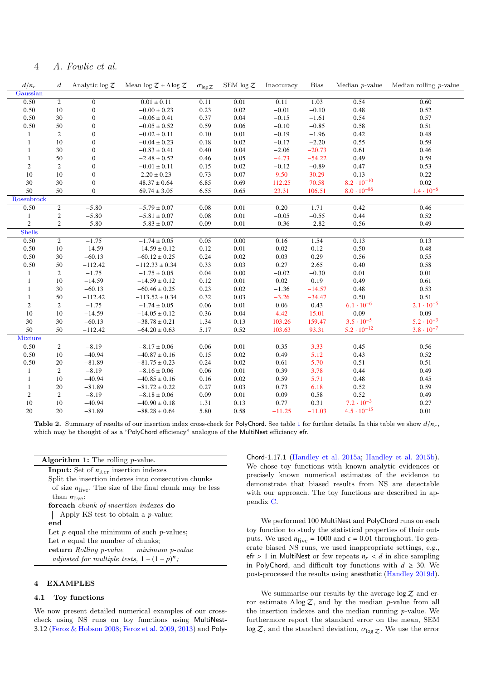# 4 A. Fowlie et al.

| $d/n_r$        | d              | Analytic $\log Z$ | Mean $\log Z \pm \Delta \log Z$ | $\sigma_{\log Z}$ | SEM $log Z$ | Inaccuracy | <b>Bias</b> | Median $p$ -value    | Median rolling $p$ -value |
|----------------|----------------|-------------------|---------------------------------|-------------------|-------------|------------|-------------|----------------------|---------------------------|
| Gaussian       |                |                   |                                 |                   |             |            |             |                      |                           |
| 0.50           | $\overline{c}$ | $\mathbf{0}$      | $0.01 \pm 0.11$                 | 0.11              | 0.01        | 0.11       | 1.03        | 0.54                 | 0.60                      |
| 0.50           | $10\,$         | $\boldsymbol{0}$  | $-0.00 \pm 0.23$                | 0.23              | 0.02        | $-0.01$    | $-0.10$     | 0.48                 | 0.52                      |
| 0.50           | 30             | $\boldsymbol{0}$  | $-0.06 \pm 0.41$                | 0.37              | 0.04        | $-0.15$    | $-1.61$     | 0.54                 | 0.57                      |
| 0.50           | 50             | $\boldsymbol{0}$  | $-0.05 \pm 0.52$                | 0.59              | 0.06        | $-0.10$    | $-0.85$     | 0.58                 | 0.51                      |
| $\mathbf{1}$   | $\overline{c}$ | $\boldsymbol{0}$  | $-0.02 \pm 0.11$                | 0.10              | $0.01\,$    | $-0.19$    | $-1.96$     | 0.42                 | 0.48                      |
| $\mathbf{1}$   | $10\,$         | $\boldsymbol{0}$  | $-0.04 \pm 0.23$                | 0.18              | $0.02\,$    | $-0.17$    | $-2.20$     | 0.55                 | 0.59                      |
| $\mathbf{1}$   | 30             | $\boldsymbol{0}$  | $-0.83 \pm 0.41$                | 0.40              | 0.04        | $-2.06$    | $-20.73$    | 0.61                 | 0.46                      |
| $\mathbf{1}$   | 50             | $\boldsymbol{0}$  | $-2.48\pm0.52$                  | 0.46              | 0.05        | $-4.73$    | $-54.22$    | 0.49                 | 0.59                      |
| $\overline{c}$ | $\overline{c}$ | $\boldsymbol{0}$  | $-0.01\pm0.11$                  | 0.15              | $0.02\,$    | $-0.12$    | $-0.89$     | 0.47                 | 0.53                      |
| 10             | $10\,$         | $\boldsymbol{0}$  | $2.20\pm0.23$                   | 0.73              | $0.07\,$    | 9.50       | 30.29       | 0.13                 | 0.22                      |
| 30             | 30             | $\boldsymbol{0}$  | $48.37 \pm 0.64$                | 6.85              | 0.69        | 112.25     | 70.58       | $8.2 \cdot 10^{-10}$ | 0.02                      |
| 50             | 50             | $\boldsymbol{0}$  | $69.74 \pm 3.05$                | 6.55              | 0.65        | 23.31      | 106.51      | $8.0 \cdot 10^{-86}$ | $1.4 \cdot 10^{-6}$       |
| Rosenbrock     |                |                   |                                 |                   |             |            |             |                      |                           |
| 0.50           | $\overline{c}$ | $-5.80$           | $-5.79\pm0.07$                  | 0.08              | 0.01        | 0.20       | 1.71        | 0.42                 | 0.46                      |
| 1              | $\overline{c}$ | $-5.80$           | $-5.81\pm0.07$                  | 0.08              | 0.01        | $-0.05$    | $-0.55$     | 0.44                 | 0.52                      |
| $\overline{c}$ | $\overline{2}$ | $-5.80$           | $-5.83 \pm 0.07$                | 0.09              | $0.01\,$    | $-0.36$    | $-2.82$     | 0.56                 | 0.49                      |
| <b>Shells</b>  |                |                   |                                 |                   |             |            |             |                      |                           |
| 0.50           | $\overline{2}$ | $-1.75$           | $-1.74 \pm 0.05$                | 0.05              | 0.00        | 0.16       | 1.54        | 0.13                 | 0.13                      |
| 0.50           | 10             | $-14.59$          | $-14.59 \pm 0.12$               | 0.12              | 0.01        | 0.02       | 0.12        | 0.50                 | 0.48                      |
| 0.50           | $30\,$         | $-60.13$          | $-60.12 \pm 0.25$               | 0.24              | $0.02\,$    | 0.03       | 0.29        | 0.56                 | 0.55                      |
| 0.50           | 50             | $-112.42$         | $-112.33 \pm 0.34$              | 0.33              | 0.03        | 0.27       | 2.65        | 0.40                 | 0.58                      |
| 1              | $\overline{c}$ | $-1.75$           | $-1.75 \pm 0.05$                | 0.04              | $0.00\,$    | $-0.02$    | $-0.30$     | 0.01                 | $0.01\,$                  |
| $\mathbf{1}$   | 10             | $-14.59$          | $-14.59 \pm 0.12$               | 0.12              | 0.01        | 0.02       | 0.19        | 0.49                 | 0.61                      |
| $\mathbf{1}$   | 30             | $-60.13$          | $-60.46 \pm 0.25$               | 0.23              | $0.02\,$    | $-1.36$    | $-14.57$    | 0.48                 | 0.53                      |
| $\mathbf{1}$   | 50             | $-112.42$         | $-113.52 \pm 0.34$              | 0.32              | 0.03        | $-3.26$    | $-34.47$    | 0.50                 | 0.51                      |
| $\sqrt{2}$     | $\overline{c}$ | $-1.75$           | $-1.74 \pm 0.05$                | 0.06              | $0.01\,$    | $0.06\,$   | 0.43        | $6.1 \cdot 10^{-6}$  | $2.1 \cdot 10^{-5}$       |
| 10             | 10             | $-14.59$          | $-14.05 \pm 0.12$               | 0.36              | 0.04        | 4.42       | 15.01       | 0.09                 | 0.09                      |
| 30             | 30             | $-60.13$          | $-38.78 \pm 0.21$               | 1.34              | 0.13        | 103.26     | 159.47      | $3.5 \cdot 10^{-5}$  | $5.2 \cdot 10^{-3}$       |
| 50             | 50             | $-112.42$         | $-64.20 \pm 0.63$               | 5.17              | 0.52        | 103.63     | 93.31       | $5.2 \cdot 10^{-12}$ | $3.8 \cdot 10^{-7}$       |
| Mixture        |                |                   |                                 |                   |             |            |             |                      |                           |
| 0.50           | $\overline{2}$ | $-8.19$           | $-8.17 \pm 0.06$                | 0.06              | 0.01        | 0.35       | 3.33        | 0.45                 | 0.56                      |
| 0.50           | 10             | $-40.94$          | $-40.87 \pm 0.16$               | 0.15              | 0.02        | 0.49       | 5.12        | 0.43                 | 0.52                      |
| 0.50           | 20             | $-81.89$          | $-81.75 \pm 0.23$               | 0.24              | $0.02\,$    | 0.61       | 5.70        | 0.51                 | 0.51                      |
| $\mathbf{1}$   | $\overline{2}$ | $-8.19$           | $-8.16\pm0.06$                  | 0.06              | $0.01\,$    | 0.39       | 3.78        | 0.44                 | 0.49                      |
| $\mathbf{1}$   | $10\,$         | $-40.94$          | $-40.85 \pm 0.16$               | 0.16              | 0.02        | 0.59       | 5.71        | 0.48                 | 0.45                      |
| $\mathbf{1}$   | $20\,$         | $-81.89$          | $-81.72 \pm 0.22$               | 0.27              | 0.03        | 0.73       | 6.18        | 0.52                 | 0.59                      |
| $\overline{c}$ | $\overline{2}$ | $-8.19$           | $-8.18 \pm 0.06$                | 0.09              | 0.01        | 0.09       | 0.58        | 0.52                 | 0.49                      |
| $10\,$         | $10\,$         | $-40.94$          | $-40.90 \pm 0.18$               | 1.31              | 0.13        | 0.77       | 0.31        | $7.2 \cdot 10^{-3}$  | 0.27                      |
| $20\,$         | 20             | $-81.89$          | $-88.28 \pm 0.64$               | 5.80              | 0.58        | $-11.25$   | $-11.03$    | $4.5 \cdot 10^{-15}$ | $0.01\,$                  |
|                |                |                   |                                 |                   |             |            |             |                      |                           |

<span id="page-3-2"></span>Table 2. Summary of results of our insertion index cross-check for PolyChord. See table [1](#page-2-0) for further details. In this table we show  $d/n_r$ which may be thought of as a "PolyChord efficiency" analogue of the MultiNest efficiency efr.

Algorithm 1: The rolling  $p$ -value. Input: Set of  $n_{\text{iter}}$  insertion indexes Split the insertion indexes into consecutive chunks of size  $n_{\text{live}}$ . The size of the final chunk may be less than  $n_{\text{live}}$ ; foreach chunk of insertion indexes do Apply KS test to obtain a p-value; end Let  $p$  equal the minimum of such  $p$ -values; Let *n* equal the number of chunks; return Rolling p-value — minimum p-value adjusted for multiple tests,  $1 - (1 - p)^n$ ;

# <span id="page-3-1"></span><span id="page-3-0"></span>4 EXAMPLES

# 4.1 Toy functions

We now present detailed numerical examples of our crosscheck using NS runs on toy functions using MultiNest-3.12 [\(Feroz & Hobson](#page-6-2) [2008;](#page-6-2) [Feroz et al.](#page-6-3) [2009,](#page-6-3) [2013\)](#page-6-4) and Poly-

Chord-1.17.1 [\(Handley et al.](#page-6-5) [2015a;](#page-6-5) [Handley et al.](#page-6-6) [2015b\)](#page-6-6). We chose toy functions with known analytic evidences or precisely known numerical estimates of the evidence to demonstrate that biased results from NS are detectable with our approach. The toy functions are described in appendix [C.](#page-7-5)

We performed 100 MultiNest and PolyChord runs on each toy function to study the statistical properties of their outputs. We used  $n_{\mathrm{live}}=1000$  and  $\epsilon=0.01$  throughout. To generate biased NS runs, we used inappropriate settings, e.g., efr  $> 1$  in MultiNest or few repeats  $n_r < d$  in slice sampling in PolyChord, and difficult toy functions with  $d \geq 30$ . We post-processed the results using anesthetic [\(Handley](#page-6-46) [2019d\)](#page-6-46).

We summarise our results by the average  $\log Z$  and error estimate  $\Delta \log \mathcal{Z}$ , and by the median p-value from all the insertion indexes and the median running  $p$ -value. We furthermore report the standard error on the mean, SEM  $\log \mathcal{Z}$ , and the standard deviation,  $\sigma_{\log \mathcal{Z}}$ . We use the error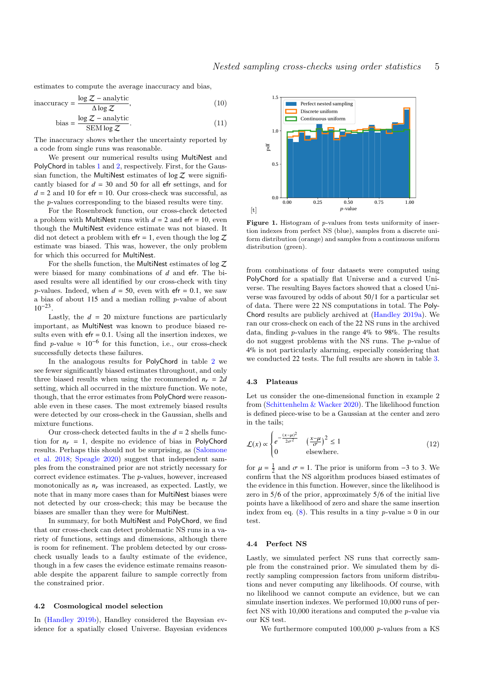estimates to compute the average inaccuracy and bias,

$$
\text{inaccuracy} = \frac{\log \mathcal{Z} - \text{analytic}}{\Delta \log \mathcal{Z}},\tag{10}
$$
\n
$$
\log \mathcal{Z} - \text{analytic}
$$
\n
$$
(11)
$$

$$
bias = \frac{\log \mathcal{L} - \text{analytic}}{\text{SEM} \log \mathcal{L}}.\tag{11}
$$

The inaccuracy shows whether the uncertainty reported by a code from single runs was reasonable.

We present our numerical results using MultiNest and PolyChord in tables [1](#page-2-0) and [2,](#page-3-2) respectively. First, for the Gaussian function, the MultiNest estimates of  $\log Z$  were significantly biased for  $d = 30$  and 50 for all efr settings, and for  $d = 2$  and 10 for  $eff = 10$ . Our cross-check was successful, as the p-values corresponding to the biased results were tiny.

For the Rosenbrock function, our cross-check detected a problem with MultiNest runs with  $d = 2$  and  $\epsilon$ fr = 10, even though the MultiNest evidence estimate was not biased. It did not detect a problem with  $\epsilon$ fr = 1, even though the log  $Z$ estimate was biased. This was, however, the only problem for which this occurred for MultiNest.

For the shells function, the MultiNest estimates of  $\log Z$ were biased for many combinations of *d* and efr. The biased results were all identified by our cross-check with tiny *p*-values. Indeed, when  $d = 50$ , even with  $\epsilon$ fr = 0.1, we saw a bias of about 115 and a median rolling p-value of about  $10^{-23}$ .

Lastly, the  $d = 20$  mixture functions are particularly important, as MultiNest was known to produce biased results even with  $\text{eff} = 0.1$ . Using all the insertion indexes, we find p-value  $\approx 10^{-6}$  for this function, i.e., our cross-check successfully detects these failures.

In the analogous results for PolyChord in table [2](#page-3-2) we see fewer significantly biased estimates throughout, and only three biased results when using the recommended  $n_r = 2d$ setting, which all occurred in the mixture function. We note, though, that the error estimates from PolyChord were reasonable even in these cases. The most extremely biased results were detected by our cross-check in the Gaussian, shells and mixture functions.

Our cross-check detected faults in the  $d = 2$  shells function for  $n_r = 1$ , despite no evidence of bias in PolyChord results. Perhaps this should not be surprising, as [\(Salomone](#page-6-38) [et al.](#page-6-38) [2018;](#page-6-38) [Speagle](#page-6-7) [2020\)](#page-6-7) suggest that independent samples from the constrained prior are not strictly necessary for correct evidence estimates. The p-values, however, increased monotonically as  $n_r$  was increased, as expected. Lastly, we note that in many more cases than for MultiNest biases were not detected by our cross-check; this may be because the biases are smaller than they were for MultiNest.

In summary, for both MultiNest and PolyChord, we find that our cross-check can detect problematic NS runs in a variety of functions, settings and dimensions, although there is room for refinement. The problem detected by our crosscheck usually leads to a faulty estimate of the evidence, though in a few cases the evidence estimate remains reasonable despite the apparent failure to sample correctly from the constrained prior.

## 4.2 Cosmological model selection

In [\(Handley](#page-6-36) [2019b\)](#page-6-36), Handley considered the Bayesian evidence for a spatially closed Universe. Bayesian evidences



<span id="page-4-0"></span>Figure 1. Histogram of *p*-values from tests uniformity of insertion indexes from perfect NS (blue), samples from a discrete uniform distribution (orange) and samples from a continuous uniform distribution (green).

from combinations of four datasets were computed using PolyChord for a spatially flat Universe and a curved Universe. The resulting Bayes factors showed that a closed Universe was favoured by odds of about 50/1 for a particular set of data. There were 22 NS computations in total. The Poly-Chord results are publicly archived at [\(Handley](#page-6-47) [2019a\)](#page-6-47). We ran our cross-check on each of the 22 NS runs in the archived data, finding p-values in the range 4% to 98%. The results do not suggest problems with the NS runs. The p-value of 4% is not particularly alarming, especially considering that we conducted 22 tests. The full results are shown in table [3.](#page-5-2)

#### 4.3 Plateaus

Let us consider the one-dimensional function in example 2 from [\(Schittenhelm & Wacker](#page-6-41) [2020\)](#page-6-41). The likelihood function is defined piece-wise to be a Gaussian at the center and zero in the tails;

$$
\mathcal{L}(x) \propto \begin{cases} e^{-\frac{(x-\mu)^2}{2\sigma^2}} & \left(\frac{x-\mu}{\sigma}\right)^2 \le 1\\ 0 & \text{elsewhere.} \end{cases} \tag{12}
$$

for  $\mu = \frac{1}{2}$  and  $\sigma = 1$ . The prior is uniform from -3 to 3. We confirm that the NS algorithm produces biased estimates of confirm that the NS algorithm produces biased estimates of the evidence in this function. However, since the likelihood is zero in 5/6 of the prior, approximately 5/6 of the initial live points have a likelihood of zero and share the same insertion index from eq. [\(8\)](#page-1-4). This results in a tiny p-value  $\approx 0$  in our test.

#### 4.4 Perfect NS

Lastly, we simulated perfect NS runs that correctly sample from the constrained prior. We simulated them by directly sampling compression factors from uniform distributions and never computing any likelihoods. Of course, with no likelihood we cannot compute an evidence, but we can simulate insertion indexes. We performed 10,000 runs of perfect NS with 10,000 iterations and computed the p-value via our KS test.

We furthermore computed 100,000 *p*-values from a KS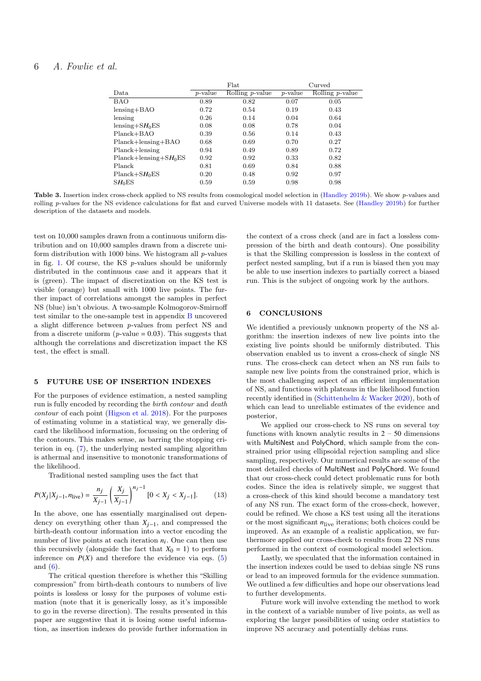|                            |            | Flat               | Curved          |                    |  |
|----------------------------|------------|--------------------|-----------------|--------------------|--|
| Data                       | $p$ -value | Rolling $p$ -value | <i>p</i> -value | Rolling $p$ -value |  |
| <b>BAO</b>                 | 0.89       | 0.82               | 0.07            | 0.05               |  |
| $lensing+BAO$              | 0.72       | 0.54               | 0.19            | 0.43               |  |
| lensing                    | 0.26       | 0.14               | 0.04            | 0.64               |  |
| lensing+ $SH0ES$           | 0.08       | 0.08               | 0.78            | 0.04               |  |
| $Planck+BAO$               | 0.39       | 0.56               | 0.14            | 0.43               |  |
| $Planck + lensing + BAO$   | 0.68       | 0.69               | 0.70            | 0.27               |  |
| $Planck + lensing$         | 0.94       | 0.49               | 0.89            | 0.72               |  |
| $Planck + lensing + SH0ES$ | 0.92       | 0.92               | 0.33            | 0.82               |  |
| Planck                     | 0.81       | 0.69               | 0.84            | 0.88               |  |
| $Planck + SH0ES$           | 0.20       | 0.48               | 0.92            | 0.97               |  |
| SH <sub>0</sub> ES         | 0.59       | 0.59               | 0.98            | 0.98               |  |

Table 3. Insertion index cross-check applied to NS results from cosmological model selection in [\(Handley](#page-6-36) [2019b\)](#page-6-36). We show p-values and rolling p-values for the NS evidence calculations for flat and curved Universe models with 11 datasets. See [\(Handley](#page-6-36) [2019b\)](#page-6-36) for further description of the datasets and models.

test on 10,000 samples drawn from a continuous uniform distribution and on 10,000 samples drawn from a discrete uniform distribution with 1000 bins. We histogram all  $p$ -values in fig. [1.](#page-4-0) Of course, the KS p-values should be uniformly distributed in the continuous case and it appears that it is (green). The impact of discretization on the KS test is visible (orange) but small with 1000 live points. The further impact of correlations amongst the samples in perfect NS (blue) isn't obvious. A two-sample Kolmogorov-Smirnoff test similar to the one-sample test in appendix [B](#page-7-4) uncovered a slight difference between p-values from perfect NS and from a discrete uniform ( $p$ -value = 0.03). This suggests that although the correlations and discretization impact the KS test, the effect is small.

# <span id="page-5-0"></span>5 FUTURE USE OF INSERTION INDEXES

For the purposes of evidence estimation, a nested sampling run is fully encoded by recording the birth contour and death contour of each point [\(Higson et al.](#page-6-48) [2018\)](#page-6-48). For the purposes of estimating volume in a statistical way, we generally discard the likelihood information, focussing on the ordering of the contours. This makes sense, as barring the stopping criterion in eq. [\(7\)](#page-1-5), the underlying nested sampling algorithm is athermal and insensitive to monotonic transformations of the likelihood.

Traditional nested sampling uses the fact that

$$
P(X_j|X_{j-1}, n_{\text{live}}) = \frac{n_j}{X_{j-1}} \left(\frac{X_j}{X_{j-1}}\right)^{n_j - 1} [0 < X_j < X_{j-1}].\tag{13}
$$

In the above, one has essentially marginalised out dependency on everything other than  $X_{j-1}$ , and compressed the birth-death contour information into a vector encoding the number of live points at each iteration  $n_i$ . One can then use this recursively (alongside the fact that  $X_0 = 1$ ) to perform inference on  $P(X)$  and therefore the evidence via eqs. [\(5\)](#page-1-3) and [\(6\)](#page-1-6).

The critical question therefore is whether this "Skilling compression" from birth-death contours to numbers of live points is lossless or lossy for the purposes of volume estimation (note that it is generically lossy, as it's impossible to go in the reverse direction). The results presented in this paper are suggestive that it is losing some useful information, as insertion indexes do provide further information in

<span id="page-5-2"></span>the context of a cross check (and are in fact a lossless compression of the birth and death contours). One possibility is that the Skilling compression is lossless in the context of perfect nested sampling, but if a run is biased then you may be able to use insertion indexes to partially correct a biased run. This is the subject of ongoing work by the authors.

#### <span id="page-5-1"></span>6 CONCLUSIONS

We identified a previously unknown property of the NS algorithm: the insertion indexes of new live points into the existing live points should be uniformly distributed. This observation enabled us to invent a cross-check of single NS runs. The cross-check can detect when an NS run fails to sample new live points from the constrained prior, which is the most challenging aspect of an efficient implementation of NS, and functions with plateaus in the likelihood function recently identified in [\(Schittenhelm & Wacker](#page-6-41) [2020\)](#page-6-41), both of which can lead to unreliable estimates of the evidence and posterior,

We applied our cross-check to NS runs on several toy functions with known analytic results in  $2 - 50$  dimensions with MultiNest and PolyChord, which sample from the constrained prior using ellipsoidal rejection sampling and slice sampling, respectively. Our numerical results are some of the most detailed checks of MultiNest and PolyChord. We found that our cross-check could detect problematic runs for both codes. Since the idea is relatively simple, we suggest that a cross-check of this kind should become a mandatory test of any NS run. The exact form of the cross-check, however, could be refined. We chose a KS test using all the iterations or the most significant *n*live iterations; both choices could be improved. As an example of a realistic application, we furthermore applied our cross-check to results from 22 NS runs performed in the context of cosmological model selection.

Lastly, we speculated that the information contained in the insertion indexes could be used to debias single NS runs or lead to an improved formula for the evidence summation. We outlined a few difficulties and hope our observations lead to further developments.

Future work will involve extending the method to work in the context of a variable number of live points, as well as exploring the larger possibilities of using order statistics to improve NS accuracy and potentially debias runs.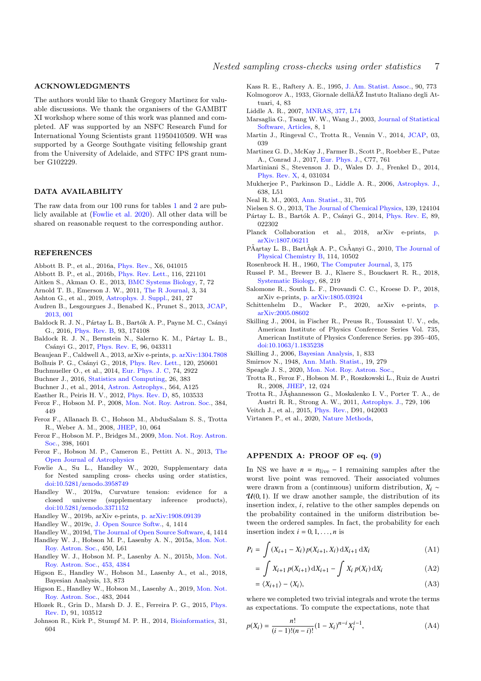## ACKNOWLEDGMENTS

The authors would like to thank Gregory Martinez for valuable discussions. We thank the organisers of the GAMBIT XI workshop where some of this work was planned and completed. AF was supported by an NSFC Research Fund for International Young Scientists grant 11950410509. WH was supported by a George Southgate visiting fellowship grant from the University of Adelaide, and STFC IPS grant number G102229.

## DATA AVAILABILITY

The raw data from our 100 runs for tables [1](#page-2-0) and [2](#page-3-2) are publicly available at [\(Fowlie et al.](#page-6-49) [2020\)](#page-6-49). All other data will be shared on reasonable request to the corresponding author.

#### **REFERENCES**

- <span id="page-6-19"></span>Abbott B. P., et al., 2016a, [Phys. Rev.,](http://dx.doi.org/10.1103/PhysRevX.6.041015, 10.1103/PhysRevX.8.039903) X6, 041015
- <span id="page-6-18"></span>Abbott B. P., et al., 2016b, [Phys. Rev. Lett.,](http://dx.doi.org/10.1103/PhysRevLett.116.221101, 10.1103/PhysRevLett.121.129902) 116, 221101
- <span id="page-6-40"></span>Aitken S., Akman O. E., 2013, [BMC Systems Biology,](http://dx.doi.org/10.1186/1752-0509-7-72) 7, 72
- <span id="page-6-52"></span>Arnold T. B., Emerson J. W., 2011, [The R Journal,](http://dx.doi.org/10.32614/RJ-2011-016) 3, 34
- <span id="page-6-20"></span>Ashton G., et al., 2019, [Astrophys. J. Suppl.,](http://dx.doi.org/10.3847/1538-4365/ab06fc) 241, 27
- <span id="page-6-12"></span>Audren B., Lesgourgues J., Benabed K., Prunet S., 2013, [JCAP,](http://dx.doi.org/10.1088/1475-7516/2013/02/001) [2013, 001](https://ui.adsabs.harvard.edu/abs/2013JCAP...02..001A)
- <span id="page-6-31"></span>Baldock R. J. N., Pártay L. B., Bartók A. P., Payne M. C., Csányi G., 2016, [Phys. Rev. B,](http://dx.doi.org/10.1103/PhysRevB.93.174108) 93, 174108
- <span id="page-6-29"></span>Baldock R. J. N., Bernstein N., Salerno K. M., Pártay L. B., Cs´anyi G., 2017, [Phys. Rev. E,](http://dx.doi.org/10.1103/PhysRevE.96.043311) 96, 043311
- <span id="page-6-54"></span>Beaujean F., Caldwell A., 2013, arXiv e-prints, [p. arXiv:1304.7808](https://ui.adsabs.harvard.edu/abs/2013arXiv1304.7808B)
- <span id="page-6-25"></span>Bolhuis P. G., Cs´anyi G., 2018, [Phys. Rev. Lett.,](http://dx.doi.org/10.1103/PhysRevLett.120.250601) 120, 250601
- <span id="page-6-23"></span>Buchmueller O., et al., 2014, [Eur. Phys. J. C,](http://dx.doi.org/10.1140/epjc/s10052-014-2922-3) 74, 2922
- <span id="page-6-34"></span>Buchner J., 2016, [Statistics and Computing,](http://dx.doi.org/10.1007/s11222-014-9512-y) 26, 383
- <span id="page-6-16"></span>Buchner J., et al., 2014, [Astron. Astrophys.,](http://dx.doi.org/10.1051/0004-6361/201322971) 564, A125
- <span id="page-6-9"></span>Easther R., Peiris H. V., 2012, [Phys. Rev. D,](http://dx.doi.org/10.1103/PhysRevD.85.103533) 85, 103533
- <span id="page-6-2"></span>Feroz F., Hobson M. P., 2008, [Mon. Not. Roy. Astron. Soc.,](http://dx.doi.org/10.1111/j.1365-2966.2007.12353.x) 384, 449
- <span id="page-6-22"></span>Feroz F., Allanach B. C., Hobson M., AbdusSalam S. S., Trotta R., Weber A. M., 2008, [JHEP,](http://dx.doi.org/10.1088/1126-6708/2008/10/064) 10, 064
- <span id="page-6-3"></span>Feroz F., Hobson M. P., Bridges M., 2009, [Mon. Not. Roy. Astron.](http://dx.doi.org/10.1111/j.1365-2966.2009.14548.x) [Soc.,](http://dx.doi.org/10.1111/j.1365-2966.2009.14548.x) 398, 1601
- <span id="page-6-4"></span>Feroz F., Hobson M. P., Cameron E., Pettitt A. N., 2013, [The](http://dx.doi.org/10.21105/astro.1306.2144) [Open Journal of Astrophysics](http://dx.doi.org/10.21105/astro.1306.2144)
- <span id="page-6-49"></span>Fowlie A., Su L., Handley W., 2020, Supplementary data for Nested sampling cross- checks using order statistics, [doi:10.5281/zenodo.3958749](http://dx.doi.org/10.5281/zenodo.3958749)
- <span id="page-6-47"></span>Handley W., 2019a, Curvature tension: evidence for a closed universe (supplementary inference products), [doi:10.5281/zenodo.3371152](http://dx.doi.org/10.5281/zenodo.3371152)
- <span id="page-6-36"></span>Handley W., 2019b, arXiv e-prints, [p. arXiv:1908.09139](https://ui.adsabs.harvard.edu/abs/2019arXiv190809139H)
- <span id="page-6-45"></span>Handley W., 2019c, [J. Open Source Softw.,](http://dx.doi.org/10.21105/joss.01414) 4, 1414
- <span id="page-6-46"></span><span id="page-6-5"></span>Handley W., 2019d, [The Journal of Open Source Software,](http://dx.doi.org/10.21105/joss.01414) 4, 1414 Handley W. J., Hobson M. P., Lasenby A. N., 2015a, [Mon. Not.](http://dx.doi.org/10.1093/mnrasl/slv047)
- [Roy. Astron. Soc.,](http://dx.doi.org/10.1093/mnrasl/slv047) 450, L61
- <span id="page-6-6"></span>Handley W. J., Hobson M. P., Lasenby A. N., 2015b, [Mon. Not.](http://dx.doi.org/10.1093/mnras/stv1911) [Roy. Astron. Soc.,](http://dx.doi.org/10.1093/mnras/stv1911) [453, 4384](https://ui.adsabs.harvard.edu/abs/2015MNRAS.453.4384H)
- <span id="page-6-48"></span>Higson E., Handley W., Hobson M., Lasenby A., et al., 2018, Bayesian Analysis, 13, 873
- <span id="page-6-35"></span>Higson E., Handley W., Hobson M., Lasenby A., 2019, [Mon. Not.](http://dx.doi.org/10.1093/mnras/sty3090) [Roy. Astron. Soc.,](http://dx.doi.org/10.1093/mnras/sty3090) 483, 2044
- <span id="page-6-11"></span>Hlozek R., Grin D., Marsh D. J. E., Ferreira P. G., 2015, [Phys.](http://dx.doi.org/10.1103/PhysRevD.91.103512) [Rev. D,](http://dx.doi.org/10.1103/PhysRevD.91.103512) 91, 103512
- <span id="page-6-33"></span>Johnson R., Kirk P., Stumpf M. P. H., 2014, [Bioinformatics,](http://dx.doi.org/10.1093/bioinformatics/btu675) 31, 604

<span id="page-6-44"></span><span id="page-6-37"></span>Kass R. E., Raftery A. E., 1995, [J. Am. Statist. Assoc.,](http://dx.doi.org/10.1080/01621459.1995.10476572) 90, 773 Kolmogorov A., 1933, Giornale dell $\tilde{A}Z$  Instuto Italiano degli Attuari, 4, 83

- <span id="page-6-15"></span>Liddle A. R., 2007, [MNRAS,](http://dx.doi.org/10.1111/j.1745-3933.2007.00306.x) [377, L74](https://ui.adsabs.harvard.edu/abs/2007MNRAS.377L..74L)
- <span id="page-6-50"></span>Marsaglia G., Tsang W. W., Wang J., 2003, [Journal of Statistical](http://dx.doi.org/10.18637/jss.v008.i18) [Software, Articles,](http://dx.doi.org/10.18637/jss.v008.i18) 8, 1 Martin J., Ringeval C., Trotta R., Vennin V., 2014, [JCAP,](http://dx.doi.org/10.1088/1475-7516/2014/03/039) 03,
- <span id="page-6-10"></span>039
- <span id="page-6-24"></span>Martinez G. D., McKay J., Farmer B., Scott P., Roebber E., Putze A., Conrad J., 2017, [Eur. Phys. J.,](http://dx.doi.org/10.1140/epjc/s10052-017-5274-y) C77, 761
- <span id="page-6-26"></span>Martiniani S., Stevenson J. D., Wales D. J., Frenkel D., 2014, [Phys. Rev. X,](http://dx.doi.org/10.1103/PhysRevX.4.031034) 4, 031034
- <span id="page-6-8"></span>Mukherjee P., Parkinson D., Liddle A. R., 2006, [Astrophys. J.,](http://dx.doi.org/10.1086/501068) 638, L51
- <span id="page-6-39"></span>Neal R. M., 2003, [Ann. Statist.,](http://dx.doi.org/10.1214/aos/1056562461) 31, 705
- <span id="page-6-30"></span>Nielsen S. O., 2013, [The Journal of Chemical Physics,](http://dx.doi.org/10.1063/1.4821761) 139, 124104
- <span id="page-6-28"></span>Pártay L. B., Bartók A. P., Csányi G., 2014, [Phys. Rev. E,](http://dx.doi.org/10.1103/PhysRevE.89.022302) 89, 022302
- <span id="page-6-13"></span>Planck Collaboration et al., 2018, arXiv e-prints, [p.](https://ui.adsabs.harvard.edu/abs/2018arXiv180706211P) [arXiv:1807.06211](https://ui.adsabs.harvard.edu/abs/2018arXiv180706211P)
- <span id="page-6-27"></span> $\mathrm{P\tilde{A}}\xspace$ artay L. B., Bart<br/>  $\mathrm{\tilde{A}}\xspace\$  A. P., Cs $\mathrm{\tilde{A}}\xspace\$  Anyi G., 2010, [The Journal of](http://dx.doi.org/10.1021/jp1012973) [Physical Chemistry B,](http://dx.doi.org/10.1021/jp1012973) 114, 10502
- <span id="page-6-53"></span>Rosenbrock H. H., 1960, [The Computer Journal,](http://dx.doi.org/10.1093/comjnl/3.3.175) 3, 175
- <span id="page-6-32"></span>Russel P. M., Brewer B. J., Klaere S., Bouckaert R. R., 2018, [Systematic Biology,](http://dx.doi.org/10.1093/sysbio/syy050) 68, 219
- <span id="page-6-38"></span>Salomone R., South L. F., Drovandi C. C., Kroese D. P., 2018, arXiv e-prints, [p. arXiv:1805.03924](https://ui.adsabs.harvard.edu/abs/2018arXiv180503924S)
- <span id="page-6-41"></span>Schittenhelm D., Wacker P., 2020, arXiv e-prints, [p.](https://ui.adsabs.harvard.edu/abs/2020arXiv200508602S) [arXiv:2005.08602](https://ui.adsabs.harvard.edu/abs/2020arXiv200508602S)
- <span id="page-6-0"></span>Skilling J., 2004, in Fischer R., Preuss R., Toussaint U. V., eds, American Institute of Physics Conference Series Vol. 735, American Institute of Physics Conference Series. pp 395–405, [doi:10.1063/1.1835238](http://dx.doi.org/10.1063/1.1835238)
- <span id="page-6-1"></span>Skilling J., 2006, [Bayesian Analysis,](http://dx.doi.org/10.1214/06-BA127) 1, 833
- <span id="page-6-43"></span>Smirnov N., 1948, [Ann. Math. Statist.,](http://dx.doi.org/10.1214/aoms/1177730256) 19, 279
- <span id="page-6-7"></span>Speagle J. S., 2020, [Mon. Not. Roy. Astron. Soc.,](http://dx.doi.org/10.1093/mnras/staa278)
- <span id="page-6-21"></span>Trotta R., Feroz F., Hobson M. P., Roszkowski L., Ruiz de Austri R., 2008, [JHEP,](http://dx.doi.org/10.1088/1126-6708/2008/12/024) 12, 024
- <span id="page-6-14"></span>Trotta R., JA¸shannesson G., Moskalenko I. V., Porter T. A., de ˜ Austri R. R., Strong A. W., 2011, [Astrophys. J.,](http://dx.doi.org/10.1088/0004-637X/729/2/106) 729, 106
- <span id="page-6-17"></span>Veitch J., et al., 2015, [Phys. Rev.,](http://dx.doi.org/10.1103/PhysRevD.91.042003) D91, 042003
- <span id="page-6-51"></span>Virtanen P., et al., 2020, [Nature Methods,](http://dx.doi.org/https://doi.org/10.1038/s41592-019-0686-2)

#### <span id="page-6-42"></span>APPENDIX A: PROOF OF eq. [\(9\)](#page-1-7)

In NS we have  $n = n_{\text{live}} - 1$  remaining samples after the worst live point was removed. Their associated volumes were drawn from a (continuous) uniform distribution, *X*<sup>i</sup> ∼  $U(0, 1)$ . If we draw another sample, the distribution of its insertion index, *i*, relative to the other samples depends on the probability contained in the uniform distribution between the ordered samples. In fact, the probability for each insertion index  $i = 0, 1, \ldots, n$  is

$$
P_i = \int (X_{i+1} - X_i) p(X_{i+1}, X_i) \, dX_{i+1} \, dX_i \tag{A1}
$$

$$
= \int X_{i+1} p(X_{i+1}) \, dX_{i+1} - \int X_i p(X_i) \, dX_i \tag{A2}
$$

$$
=\langle X_{i+1}\rangle - \langle X_i\rangle,\tag{A3}
$$

where we completed two trivial integrals and wrote the terms as expectations. To compute the expectations, note that

$$
p(X_i) = \frac{n!}{(i-1)!(n-i)!} (1 - X_i)^{n-i} X_i^{i-1},
$$
\n(A4)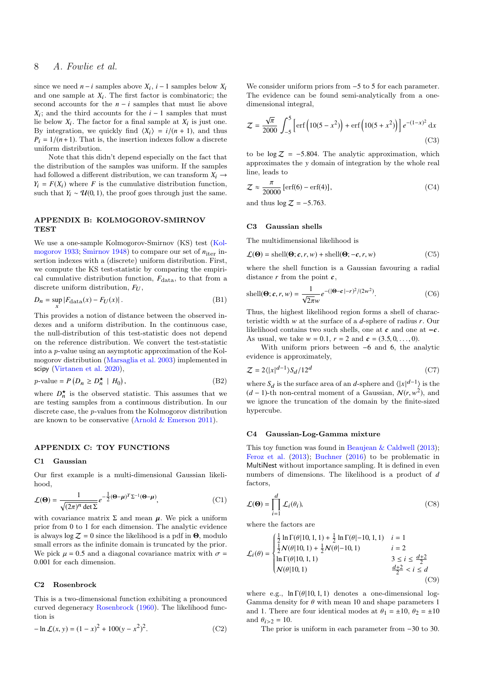# 8 A. Fowlie et al.

since we need  $n - i$  samples above  $X_i$ ,  $i - 1$  samples below  $X_i$ and one sample at  $X_i$ . The first factor is combinatoric; the second accounts for the  $n - i$  samples that must lie above  $X_i$ ; and the third accounts for the *i* − 1 samples that must lie below  $X_i$ . The factor for a final sample at  $X_i$  is just one. By integration, we quickly find  $\langle X_i \rangle = i/(n + 1)$ , and thus  $P_i = 1/(n+1)$ . That is, the insertion indexes follow a discrete uniform distribution.

Note that this didn't depend especially on the fact that the distribution of the samples was uniform. If the samples had followed a different distribution, we can transform  $X_i \rightarrow$  $Y_i = F(X_i)$  where *F* is the cumulative distribution function, such that  $Y_i \sim \mathcal{U}(0, 1)$ , the proof goes through just the same.

## <span id="page-7-4"></span>APPENDIX B: KOLMOGOROV-SMIRNOV **TEST**

We use a one-sample Kolmogorov-Smirnov (KS) test [\(Kol](#page-6-44)[mogorov](#page-6-44) [1933;](#page-6-44) [Smirnov](#page-6-43) [1948\)](#page-6-43) to compare our set of  $n_{\text{iter}}$  insertion indexes with a (discrete) uniform distribution. First, we compute the KS test-statistic by comparing the empirical cumulative distribution function,  $F_{data}$ , to that from a discrete uniform distribution,  $F_U$ ,

$$
D_n = \sup_{x} |F_{\text{data}}(x) - F_U(x)|. \tag{B1}
$$

This provides a notion of distance between the observed indexes and a uniform distribution. In the continuous case, the null-distribution of this test-statistic does not depend on the reference distribution. We convert the test-statistic into a p-value using an asymptotic approximation of the Kolmogorov distribution [\(Marsaglia et al.](#page-6-50) [2003\)](#page-6-50) implemented in scipy [\(Virtanen et al.](#page-6-51) [2020\)](#page-6-51),

$$
p\text{-value} = P\left(D_n \ge D_n^{\star} \mid H_0\right),\tag{B2}
$$

where  $D_n^*$  is the observed statistic. This assumes that we are testing samples from a continuous distribution. In our discrete case, the p-values from the Kolmogorov distribution are known to be conservative [\(Arnold & Emerson](#page-6-52) [2011\)](#page-6-52).

# <span id="page-7-5"></span>APPENDIX C: TOY FUNCTIONS

#### <span id="page-7-0"></span>C1 Gaussian

Our first example is a multi-dimensional Gaussian likelihood,

$$
\mathcal{L}(\mathbf{\Theta}) = \frac{1}{\sqrt{(2\pi)^n \det \Sigma}} e^{-\frac{1}{2} (\mathbf{\Theta} - \boldsymbol{\mu})^T \Sigma^{-1} (\mathbf{\Theta} - \boldsymbol{\mu})},
$$
(C1)

with covariance matrix  $\Sigma$  and mean  $\mu$ . We pick a uniform<br>prior from 0 to 1 for each dimension. The analytic evidence prior from 0 to 1 for each dimension. The analytic evidence is always  $\log Z = 0$  since the likelihood is a pdf in  $\Theta$ , modulo small errors as the infinite domain is truncated by the prior. We pick  $\mu = 0.5$  and a diagonal covariance matrix with  $\sigma =$ <sup>0</sup>.<sup>001</sup> for each dimension.

#### <span id="page-7-1"></span>C2 Rosenbrock

This is a two-dimensional function exhibiting a pronounced curved degeneracy [Rosenbrock](#page-6-53) [\(1960\)](#page-6-53). The likelihood function is

$$
-\ln \mathcal{L}(x, y) = (1 - x)^2 + 100(y - x^2)^2.
$$
 (C2)

We consider uniform priors from −5 to 5 for each parameter. The evidence can be found semi-analytically from a onedimensional integral,

$$
Z = \frac{\sqrt{\pi}}{2000} \int_{-5}^{5} \left[ erf \left( 10(5 - x^2) \right) + erf \left( 10(5 + x^2) \right) \right] e^{-(1 - x)^2} dx
$$
\n(C3)

to be  $\log \mathcal{Z} = -5.804$ . The analytic approximation, which approximates the y domain of integration by the whole real line, leads to

$$
Z \approx \frac{\pi}{20000} \left[ \text{erf}(6) - \text{erf}(4) \right],\tag{C4}
$$

and thus  $\log \mathcal{Z} = -5.763$ .

#### <span id="page-7-2"></span>C3 Gaussian shells

The multidimensional likelihood is

$$
\mathcal{L}(\mathbf{\Theta}) = \text{shell}(\mathbf{\Theta}; \mathbf{c}, r, w) + \text{shell}(\mathbf{\Theta}; -\mathbf{c}, r, w)
$$
 (C5)

where the shell function is a Gaussian favouring a radial distance  $r$  from the point  $c$ .

shell(
$$
\mathbf{\Theta}; \mathbf{c}, r, w
$$
) =  $\frac{1}{\sqrt{2\pi}w} e^{-\left(|\mathbf{\Theta}-\mathbf{c}|-r\right)^2/(2w^2)}$ . (C6)  
Thus, the highest likelihood region forms a shell of charac-

teristic width w at the surface of a *d*-sphere of radius *r*. Our likelihood contains two such shells, one at  $c$  and one at  $-c$ . As usual, we take  $w = 0.1$ ,  $r = 2$  and  $c = (3.5, 0, \ldots, 0)$ .

With uniform priors between −6 and 6, the analytic evidence is approximately,

$$
\mathcal{Z} = 2\langle |x|^{d-1} \rangle S_d / 12^d \tag{C7}
$$

where  $S_d$  is the surface area of an *d*-sphere and  $\langle |x|^{d-1} \rangle$  is the  $(d-1)$ -th non-central moment of a Gaussian,  $\mathcal{N}(r, w^2)$ , and we ignore the truncation of the domain by the finite sized we ignore the truncation of the domain by the finite-sized hypercube.

#### <span id="page-7-3"></span>C4 Gaussian-Log-Gamma mixture

This toy function was found in [Beaujean & Caldwell](#page-6-54) [\(2013\)](#page-6-54); [Feroz et al.](#page-6-4) [\(2013\)](#page-6-4); [Buchner](#page-6-34) [\(2016\)](#page-6-34) to be problematic in MultiNest without importance sampling. It is defined in even numbers of dimensions. The likelihood is a product of *d* factors,

$$
\mathcal{L}(\mathbf{\Theta}) = \prod_{i=1}^{d} \mathcal{L}_i(\theta_i),
$$
 (C8)

where the factors are

$$
\mathcal{L}_{i}(\theta) = \begin{cases}\n\frac{1}{2}\ln\Gamma(\theta|10, 1, 1) + \frac{1}{2}\ln\Gamma(\theta|-10, 1, 1) & i = 1 \\
\frac{1}{2}\mathcal{N}(\theta|10, 1) + \frac{1}{2}\mathcal{N}(\theta|-10, 1) & i = 2 \\
\ln\Gamma(\theta|10, 1, 1) & 3 \leq i \leq \frac{d+2}{2} \\
\mathcal{N}(\theta|10, 1) & \frac{d+2}{2} < i \leq d\n\end{cases}
$$
\n(C9)

where e.g.,  $\ln \Gamma(\theta | 10, 1, 1)$  denotes a one-dimensional log-Gamma density for  $\theta$  with mean 10 and shape parameters 1 and 1. There are four identical modes at  $\theta_1 = \pm 10$ ,  $\theta_2 = \pm 10$ and  $\theta_{i>2} = 10$ .

The prior is uniform in each parameter from −30 to 30.